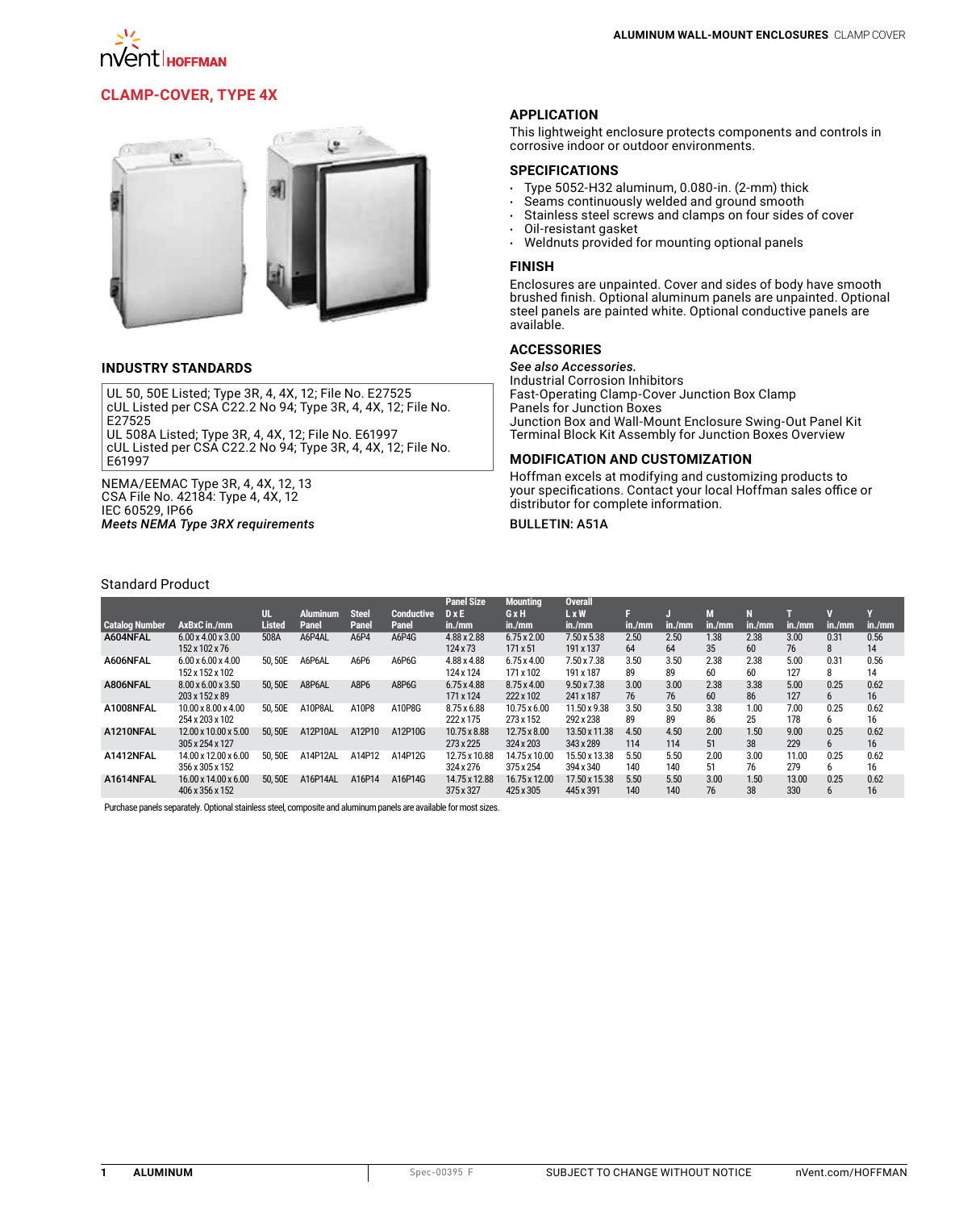

## **[Clamp-Cover, Type 4X](http://hoffman.nvent.com/en/hoffman/Clamp-Cover-Type-4X)**



### **INDUSTRY STANDARDS**

UL 50, 50E Listed; Type 3R, 4, 4X, 12; File No. E27525 cUL Listed per CSA C22.2 No 94; Type 3R, 4, 4X, 12; File No. E27525

UL 508A Listed; Type 3R, 4, 4X, 12; File No. E61997 cUL Listed per CSA C22.2 No 94; Type 3R, 4, 4X, 12; File No. E61997

NEMA/EEMAC Type 3R, 4, 4X, 12, 13 CSA File No. 42184: Type 4, 4X, 12 IEC 60529, IP66 *Meets NEMA Type 3RX requirements*

### **APPLICATION**

This lightweight enclosure protects components and controls in corrosive indoor or outdoor environments.

### **SPECIFICATIONS**

- $\cdot$  Type 5052-H32 aluminum, 0.080-in. (2-mm) thick<br> $\cdot$  Seams continuously welded and ground smooth
- Seams continuously welded and ground smooth
- Stainless steel screws and clamps on four sides of cover<br>• Oil-resistant gasket
- Oil-resistant gasket<br>• Weldnuts provided f
- Weldnuts provided for mounting optional panels

### **FINISH**

Enclosures are unpainted. Cover and sides of body have smooth brushed finish. Optional aluminum panels are unpainted. Optional steel panels are painted white. Optional conductive panels are available.

## **ACCESSORIES**

*See also Accessories.* Industrial Corrosion Inhibitors Fast-Operating Clamp-Cover Junction Box Clamp Panels for Junction Boxes Junction Box and Wall-Mount Enclosure Swing-Out Panel Kit Terminal Block Kit Assembly for Junction Boxes Overview

### **MODIFICATION AND CUSTOMIZATION**

Hoffman excels at modifying and customizing products to your specifications. Contact your local Hoffman sales office or distributor for complete information.

### **BULLETIN: A51A**

#### Standard Product

|                       |                                                    |               |          |              |            | <b>Panel Size</b>               | <b>Mounting</b>                  | <b>Overall</b>             |             |             |            |            |              |            |            |
|-----------------------|----------------------------------------------------|---------------|----------|--------------|------------|---------------------------------|----------------------------------|----------------------------|-------------|-------------|------------|------------|--------------|------------|------------|
|                       |                                                    | UL.           | Aluminum | <b>Steel</b> | Conductive | $D \times E$                    | GxH                              | <b>LxW</b>                 |             |             |            |            |              |            |            |
| <b>Catalog Number</b> | AxBxC in./mm                                       | <b>Listed</b> | Panel    | Panel        | Panel      | in./mm                          | in./mm                           | in./mm                     | in./mm      | in./mm      | in./mm     | in./mm     | in./mm       | in./mm     | in./mm     |
| A604NFAL              | $6.00 \times 4.00 \times 3.00$<br>152 x 102 x 76   | 508A          | A6P4AL   | A6P4         | A6P4G      | 4.88 x 2.88<br>124 x 73         | $6.75 \times 2.00$<br>171 x 51   | 7.50 x 5.38<br>191 x 137   | 2.50<br>64  | 2.50<br>64  | 1.38<br>35 | 2.38<br>60 | 3.00<br>76   | 0.31<br>8  | 0.56<br>14 |
| A606NFAL              | $6.00 \times 6.00 \times 4.00$<br>152 x 152 x 102  | 50.50E        | A6P6AL   | A6P6         | A6P6G      | 4.88 x 4.88<br>124 x 124        | $6.75 \times 4.00$<br>171 x 102  | 7.50 x 7.38<br>191 x 187   | 3.50<br>89  | 3.50<br>89  | 2.38<br>60 | 2.38<br>60 | 5.00<br>127  | 0.31<br>8  | 0.56<br>14 |
| A806NFAL              | 8.00 x 6.00 x 3.50<br>203 x 152 x 89               | 50.50E        | A8P6AL   | A8P6         | A8P6G      | $6.75 \times 4.88$<br>171 x 124 | 8.75 x 4.00<br>222 x 102         | 9.50 x 7.38<br>241 x 187   | 3.00<br>76  | 3.00<br>76  | 2.38<br>60 | 3.38<br>86 | 5.00<br>127  | 0.25<br>6. | 0.62<br>16 |
| A1008NFAL             | $10.00 \times 8.00 \times 4.00$<br>254 x 203 x 102 | 50.50E        | A10P8AL  | A10P8        | A10P8G     | 8.75 x 6.88<br>222 x 175        | $10.75 \times 6.00$<br>273 x 152 | 11.50 x 9.38<br>292 x 238  | 3.50<br>89  | 3.50<br>89  | 3.38<br>86 | 1.00<br>25 | 7.00<br>178  | 0.25<br>6. | 0.62<br>16 |
| A1210NFAL             | 12.00 x 10.00 x 5.00<br>305 x 254 x 127            | 50.50E        | A12P10AL | A12P10       | A12P10G    | 10.75 x 8.88<br>273 x 225       | 12.75 x 8.00<br>324 x 203        | 13.50 x 11.38<br>343 x 289 | 4.50<br>114 | 4.50<br>114 | 2.00<br>51 | 1.50<br>38 | 9.00<br>229  | 0.25<br>6  | 0.62<br>16 |
| A1412NFAL             | 14.00 x 12.00 x 6.00<br>356 x 305 x 152            | 50.50E        | A14P12AL | A14P12       | A14P12G    | 12.75 x 10.88<br>324 x 276      | 14.75 x 10.00<br>375 x 254       | 15.50 x 13.38<br>394 x 340 | 5.50<br>140 | 5.50<br>140 | 2.00<br>51 | 3.00<br>76 | 11.00<br>279 | 0.25<br>6. | 0.62<br>16 |
| A1614NFAL             | 16.00 x 14.00 x 6.00<br>406 x 356 x 152            | 50,50E        | A16P14AL | A16P14       | A16P14G    | 14.75 x 12.88<br>375 x 327      | 16.75 x 12.00<br>425 x 305       | 17.50 x 15.38<br>445 x 391 | 5.50<br>140 | 5.50<br>140 | 3.00<br>76 | 1.50<br>38 | 13.00<br>330 | 0.25<br>6  | 0.62<br>16 |
|                       |                                                    |               |          |              |            |                                 |                                  |                            |             |             |            |            |              |            |            |

Purchase panels separately. Optional stainless steel, composite and aluminum panels are available for most sizes.